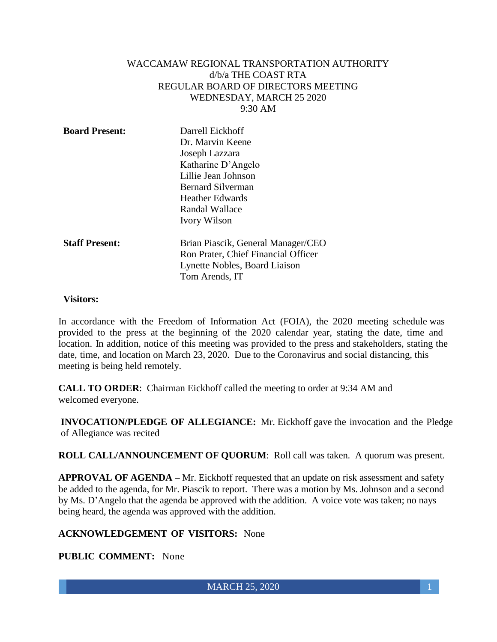### WACCAMAW REGIONAL TRANSPORTATION AUTHORITY d/b/a THE COAST RTA REGULAR BOARD OF DIRECTORS MEETING WEDNESDAY, MARCH 25 2020 9:30 AM

| <b>Board Present:</b> | Darrell Eickhoff                    |
|-----------------------|-------------------------------------|
|                       | Dr. Marvin Keene                    |
|                       | Joseph Lazzara                      |
|                       | Katharine D'Angelo                  |
|                       | Lillie Jean Johnson                 |
|                       | <b>Bernard Silverman</b>            |
|                       | <b>Heather Edwards</b>              |
|                       | Randal Wallace                      |
|                       | <b>Ivory Wilson</b>                 |
| <b>Staff Present:</b> | Brian Piascik, General Manager/CEO  |
|                       | Ron Prater, Chief Financial Officer |
|                       | Lynette Nobles, Board Liaison       |
|                       | Tom Arends, IT                      |

#### **Visitors:**

In accordance with the Freedom of Information Act (FOIA), the 2020 meeting schedule was provided to the press at the beginning of the 2020 calendar year, stating the date, time and location. In addition, notice of this meeting was provided to the press and stakeholders, stating the date, time, and location on March 23, 2020. Due to the Coronavirus and social distancing, this meeting is being held remotely.

**CALL TO ORDER**: Chairman Eickhoff called the meeting to order at 9:34 AM and welcomed everyone.

**INVOCATION/PLEDGE OF ALLEGIANCE:** Mr. Eickhoff gave the invocation and the Pledge of Allegiance was recited

**ROLL CALL/ANNOUNCEMENT OF QUORUM**: Roll call was taken. A quorum was present.

**APPROVAL OF AGENDA –** Mr. Eickhoff requested that an update on risk assessment and safety be added to the agenda, for Mr. Piascik to report. There was a motion by Ms. Johnson and a second by Ms. D'Angelo that the agenda be approved with the addition. A voice vote was taken; no nays being heard, the agenda was approved with the addition.

#### **ACKNOWLEDGEMENT OF VISITORS:** None

#### **PUBLIC COMMENT:** None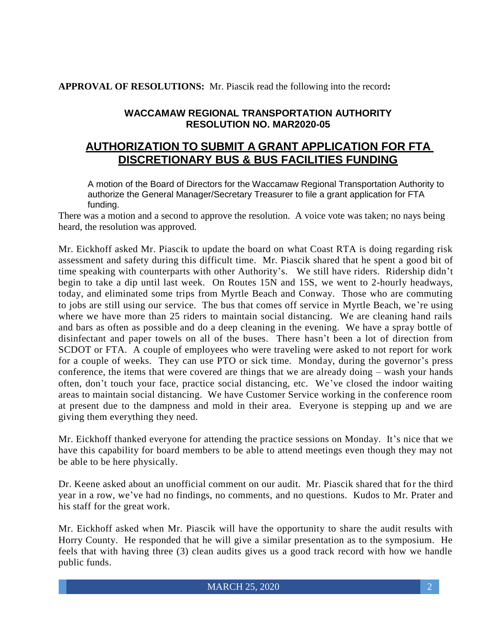**APPROVAL OF RESOLUTIONS:** Mr. Piascik read the following into the record**:**

## **WACCAMAW REGIONAL TRANSPORTATION AUTHORITY RESOLUTION NO. MAR2020-05**

# **AUTHORIZATION TO SUBMIT A GRANT APPLICATION FOR FTA DISCRETIONARY BUS & BUS FACILITIES FUNDING**

A motion of the Board of Directors for the Waccamaw Regional Transportation Authority to authorize the General Manager/Secretary Treasurer to file a grant application for FTA funding.

There was a motion and a second to approve the resolution. A voice vote was taken; no nays being heard, the resolution was approved.

Mr. Eickhoff asked Mr. Piascik to update the board on what Coast RTA is doing regarding risk assessment and safety during this difficult time. Mr. Piascik shared that he spent a good bit of time speaking with counterparts with other Authority's. We still have riders. Ridership didn't begin to take a dip until last week. On Routes 15N and 15S, we went to 2-hourly headways, today, and eliminated some trips from Myrtle Beach and Conway. Those who are commuting to jobs are still using our service. The bus that comes off service in Myrtle Beach, we're using where we have more than 25 riders to maintain social distancing. We are cleaning hand rails and bars as often as possible and do a deep cleaning in the evening. We have a spray bottle of disinfectant and paper towels on all of the buses. There hasn't been a lot of direction from SCDOT or FTA. A couple of employees who were traveling were asked to not report for work for a couple of weeks. They can use PTO or sick time. Monday, during the governor's press conference, the items that were covered are things that we are already doing – wash your hands often, don't touch your face, practice social distancing, etc. We've closed the indoor waiting areas to maintain social distancing. We have Customer Service working in the conference room at present due to the dampness and mold in their area. Everyone is stepping up and we are giving them everything they need.

Mr. Eickhoff thanked everyone for attending the practice sessions on Monday. It's nice that we have this capability for board members to be able to attend meetings even though they may not be able to be here physically.

Dr. Keene asked about an unofficial comment on our audit. Mr. Piascik shared that for the third year in a row, we've had no findings, no comments, and no questions. Kudos to Mr. Prater and his staff for the great work.

Mr. Eickhoff asked when Mr. Piascik will have the opportunity to share the audit results with Horry County. He responded that he will give a similar presentation as to the symposium. He feels that with having three (3) clean audits gives us a good track record with how we handle public funds.